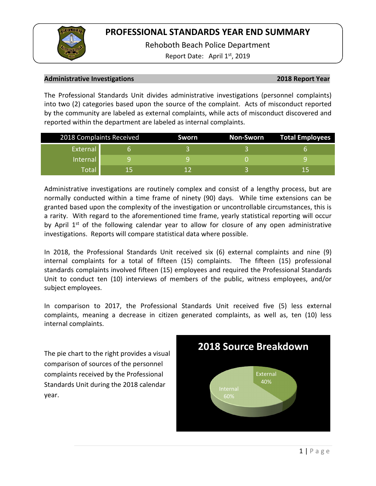Rehoboth Beach Police Department

Report Date: April  $1<sup>st</sup>$ , 2019

### **Administrative Investigations 2018 Report Year**

The Professional Standards Unit divides administrative investigations (personnel complaints) into two (2) categories based upon the source of the complaint. Acts of misconduct reported by the community are labeled as external complaints, while acts of misconduct discovered and reported within the department are labeled as internal complaints.

| 2018 Complaints Received |    | Sworn | Non-Sworn | <b>Total Employees</b> |
|--------------------------|----|-------|-----------|------------------------|
| External                 |    |       |           |                        |
| Internal                 |    |       |           |                        |
| Total                    | 15 |       |           | ר ו                    |

Administrative investigations are routinely complex and consist of a lengthy process, but are normally conducted within a time frame of ninety (90) days. While time extensions can be granted based upon the complexity of the investigation or uncontrollable circumstances, this is a rarity. With regard to the aforementioned time frame, yearly statistical reporting will occur by April  $1<sup>st</sup>$  of the following calendar year to allow for closure of any open administrative investigations. Reports will compare statistical data where possible.

In 2018, the Professional Standards Unit received six (6) external complaints and nine (9) internal complaints for a total of fifteen (15) complaints. The fifteen (15) professional standards complaints involved fifteen (15) employees and required the Professional Standards Unit to conduct ten (10) interviews of members of the public, witness employees, and/or subject employees.

In comparison to 2017, the Professional Standards Unit received five (5) less external complaints, meaning a decrease in citizen generated complaints, as well as, ten (10) less internal complaints.

The pie chart to the right provides a visual comparison of sources of the personnel complaints received by the Professional Standards Unit during the 2018 calendar year.

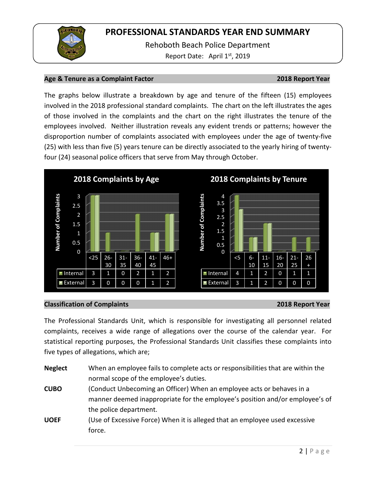

Rehoboth Beach Police Department Report Date: April 1<sup>st</sup>, 2019

### **Age & Tenure as a Complaint Factor 2018 Report Year**

The graphs below illustrate a breakdown by age and tenure of the fifteen (15) employees involved in the 2018 professional standard complaints. The chart on the left illustrates the ages of those involved in the complaints and the chart on the right illustrates the tenure of the employees involved. Neither illustration reveals any evident trends or patterns; however the disproportion number of complaints associated with employees under the age of twenty-five (25) with less than five (5) years tenure can be directly associated to the yearly hiring of twentyfour (24) seasonal police officers that serve from May through October.



## **Classification of Complaints 2018 Report Year**

The Professional Standards Unit, which is responsible for investigating all personnel related complaints, receives a wide range of allegations over the course of the calendar year. For statistical reporting purposes, the Professional Standards Unit classifies these complaints into five types of allegations, which are;

| <b>Neglect</b> | When an employee fails to complete acts or responsibilities that are within the |  |  |  |  |
|----------------|---------------------------------------------------------------------------------|--|--|--|--|
|                | normal scope of the employee's duties.                                          |  |  |  |  |
| <b>CUBO</b>    | (Conduct Unbecoming an Officer) When an employee acts or behaves in a           |  |  |  |  |
|                | manner deemed inappropriate for the employee's position and/or employee's of    |  |  |  |  |
|                | the police department.                                                          |  |  |  |  |
| <b>UOEF</b>    | (Use of Excessive Force) When it is alleged that an employee used excessive     |  |  |  |  |
|                | force.                                                                          |  |  |  |  |
|                |                                                                                 |  |  |  |  |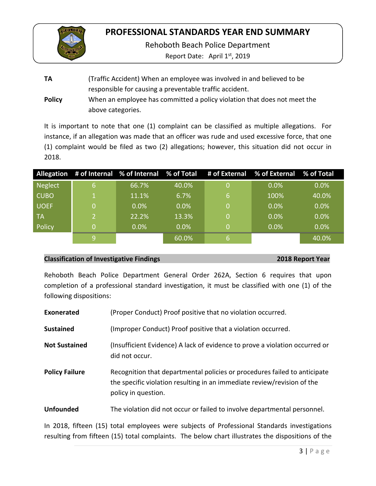

Rehoboth Beach Police Department

Report Date: April  $1<sup>st</sup>$ , 2019

**TA** (Traffic Accident) When an employee was involved in and believed to be responsible for causing a preventable traffic accident. **Policy** When an employee has committed a policy violation that does not meet the above categories.

It is important to note that one (1) complaint can be classified as multiple allegations. For instance, if an allegation was made that an officer was rude and used excessive force, that one (1) complaint would be filed as two (2) allegations; however, this situation did not occur in 2018.

|             |                |         |       |    | Allegation # of Internal % of Internal % of Total # of External % of External % of Total |         |
|-------------|----------------|---------|-------|----|------------------------------------------------------------------------------------------|---------|
| Neglect     | <sup>61</sup>  | 66.7%   | 40.0% | Ο  | $0.0\%$                                                                                  | $0.0\%$ |
| <b>CUBO</b> |                | 11.1%   | 6.7%  | 6  | 100%                                                                                     | 40.0%   |
| UOEF        | 0              | 0.0%    | 0.0%  | N  | 0.0%                                                                                     | 0.0%    |
| ∣ TA        | $\overline{2}$ | 22.2%   | 13.3% |    | $0.0\%$                                                                                  | $0.0\%$ |
| Policy      | 0              | $0.0\%$ | 0.0%  | N  | 0.0%                                                                                     | 0.0%    |
|             | q              |         | 60.0% | 67 |                                                                                          | 40.0%   |

### **Classification of Investigative Findings 2018 Report Year**

Rehoboth Beach Police Department General Order 262A, Section 6 requires that upon completion of a professional standard investigation, it must be classified with one (1) of the following dispositions:

**Exonerated** (Proper Conduct) Proof positive that no violation occurred.

**Sustained** (Improper Conduct) Proof positive that a violation occurred.

- **Not Sustained** (Insufficient Evidence) A lack of evidence to prove a violation occurred or did not occur.
- **Policy Failure** Recognition that departmental policies or procedures failed to anticipate the specific violation resulting in an immediate review/revision of the policy in question.

**Unfounded** The violation did not occur or failed to involve departmental personnel.

In 2018, fifteen (15) total employees were subjects of Professional Standards investigations resulting from fifteen (15) total complaints. The below chart illustrates the dispositions of the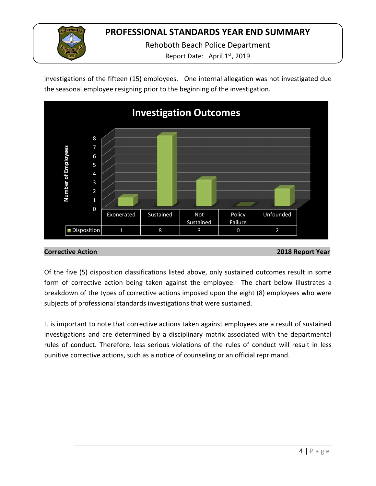

Rehoboth Beach Police Department

Report Date: April 1<sup>st</sup>, 2019

investigations of the fifteen (15) employees. One internal allegation was not investigated due the seasonal employee resigning prior to the beginning of the investigation.



## **Corrective Action 2018 Report Year**

Of the five (5) disposition classifications listed above, only sustained outcomes result in some form of corrective action being taken against the employee. The chart below illustrates a breakdown of the types of corrective actions imposed upon the eight (8) employees who were subjects of professional standards investigations that were sustained.

It is important to note that corrective actions taken against employees are a result of sustained investigations and are determined by a disciplinary matrix associated with the departmental rules of conduct. Therefore, less serious violations of the rules of conduct will result in less punitive corrective actions, such as a notice of counseling or an official reprimand.